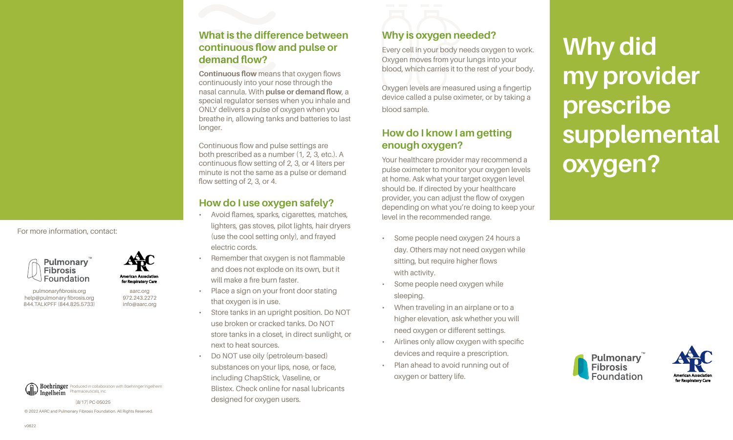**Continuous flow** means that oxygen flows continuously into your nose through the nasal cannula. With **pulse or demand flow**, a special regulator senses when you inhale and ONLY delivers a pulse of oxygen when you breathe in, allowing tanks and batteries to last longer.

Continuous flow and pulse settings are both prescribed as a number (1, 2, 3, etc.). A continuous flow setting of 2, 3, or 4 liters per minute is not the same as a pulse or demand flow setting of 2, 3, or 4.

# **How do I use oxygen safely?**

- Avoid flames, sparks, cigarettes, matches, lighters, gas stoves, pilot lights, hair dryers (use the cool setting only), and frayed electric cords.
- Remember that oxygen is not flammable and does not explode on its own, but it will make a fire burn faster.
- Place a sign on your front door stating that oxygen is in use.
- Store tanks in an upright position. Do NOT use broken or cracked tanks. Do NOT store tanks in a closet, in direct sunlight, or next to heat sources.
- Do NOT use oily (petroleum-based) substances on your lips, nose, or face, including ChapStick, Vaseline, or Blistex. Check online for nasal lubricants designed for oxygen users.

# **Why is oxygen needed?**

Every cell in your body needs oxygen to work. Oxygen moves from your lungs into your blood, which carries it to the rest of your body.

Oxygen levels are measured using a fingertip device called a pulse oximeter, or by taking a blood sample.

## **How do I know I am getting enough oxygen?**

Your healthcare provider may recommend a pulse oximeter to monitor your oxygen levels at home. Ask what your target oxygen level should be. If directed by your healthcare provider, you can adjust the flow of oxygen depending on what you're doing to keep your level in the recommended range.

- Some people need oxygen 24 hours a day. Others may not need oxygen while sitting, but require higher flows with activity.
- Some people need oxygen while sleeping.
- When traveling in an airplane or to a higher elevation, ask whether you will need oxygen or different settings.
- Airlines only allow oxygen with specific devices and require a prescription.
- Plan ahead to avoid running out of oxygen or battery life.

# **Why did my provider prescribe supplemental oxygen?**

**Pulmonary Fibrosis** 

For more information, contact:



aarc.org 972.243.2272 info@aarc.org

pulmonaryfibrosis.org help@pulmonary fibrosis.org 844.TALKPFF (844.825.5733)





[8/17] PC-05025

© 2022 AARC and Pulmonary Fibrosis Foundation. All Rights Reserved.